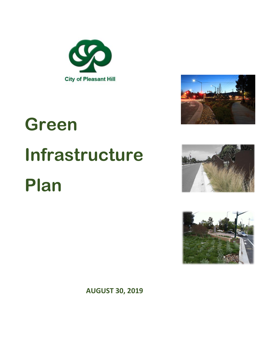



# **Green Infrastructure Plan**





**AUGUST 30, 2019**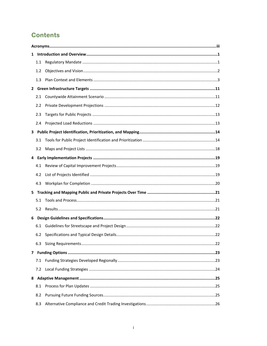### **Contents**

|   | 1.1 |  |  |  |
|---|-----|--|--|--|
|   | 1.2 |  |  |  |
|   | 1.3 |  |  |  |
|   |     |  |  |  |
|   | 2.1 |  |  |  |
|   | 2.2 |  |  |  |
|   | 2.3 |  |  |  |
|   | 2.4 |  |  |  |
|   |     |  |  |  |
|   | 3.1 |  |  |  |
|   | 3.2 |  |  |  |
|   |     |  |  |  |
|   | 4.1 |  |  |  |
|   | 4.2 |  |  |  |
|   | 4.3 |  |  |  |
| 5 |     |  |  |  |
|   | 5.1 |  |  |  |
|   |     |  |  |  |
|   |     |  |  |  |
|   | 6.1 |  |  |  |
|   |     |  |  |  |
|   | 6.3 |  |  |  |
|   |     |  |  |  |
|   | 7.1 |  |  |  |
|   |     |  |  |  |
| 8 |     |  |  |  |
|   | 8.1 |  |  |  |
|   | 8.2 |  |  |  |
|   | 8.3 |  |  |  |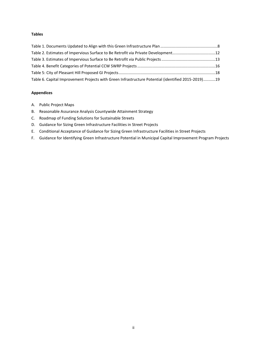#### **Tables**

| Table 6. Capital Improvement Projects with Green Infrastructure Potential (identified 2015-2019)19 |  |
|----------------------------------------------------------------------------------------------------|--|

#### **Appendices**

- A. Public Project Maps
- B. Reasonable Assurance Analysis Countywide Attainment Strategy
- C. Roadmap of Funding Solutions for Sustainable Streets
- D. Guidance for Sizing Green Infrastructure Facilities in Street Projects
- E. Conditional Acceptance of Guidance for Sizing Green Infrastructure Facilities in Street Projects
- F. Guidance for Identifying Green Infrastructure Potential in Municipal Capital Improvement Program Projects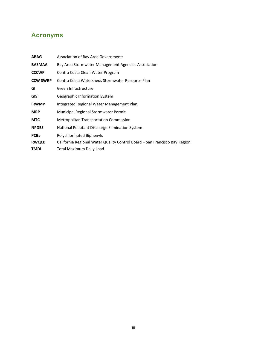### <span id="page-3-0"></span>**Acronyms**

| <b>ABAG</b>     | Association of Bay Area Governments                                        |
|-----------------|----------------------------------------------------------------------------|
| <b>BASMAA</b>   | Bay Area Stormwater Management Agencies Association                        |
| <b>CCCWP</b>    | Contra Costa Clean Water Program                                           |
| <b>CCW SWRP</b> | Contra Costa Watersheds Stormwater Resource Plan                           |
| GI              | Green Infrastructure                                                       |
| <b>GIS</b>      | Geographic Information System                                              |
| <b>IRWMP</b>    | Integrated Regional Water Management Plan                                  |
| <b>MRP</b>      | Municipal Regional Stormwater Permit                                       |
| <b>MTC</b>      | <b>Metropolitan Transportation Commission</b>                              |
| <b>NPDES</b>    | National Pollutant Discharge Elimination System                            |
| <b>PCBs</b>     | Polychlorinated Biphenyls                                                  |
| <b>RWQCB</b>    | California Regional Water Quality Control Board - San Francisco Bay Region |
| <b>TMDL</b>     | Total Maximum Daily Load                                                   |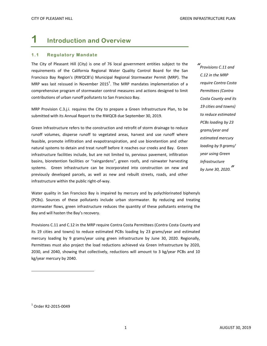### <span id="page-4-0"></span>**1 Introduction and Overview**

#### <span id="page-4-1"></span>**1.1 Regulatory Mandate**

The City of Pleasant Hill (City) is one of 76 local government entities subject to the requirements of the California Regional Water Quality Control Board for the San Francisco Bay Region's (RWQCB's) Municipal Regional Stormwater Permit (MRP). The MRP was last reissued in November 2015<sup>1</sup>. The MRP mandates implementation of a comprehensive program of stormwater control measures and actions designed to limit contributions of urban runoff pollutants to San Francisco Bay.

MRP Provision C.3.j.i. requires the City to prepare a Green Infrastructure Plan, to be submitted with its Annual Report to the RWQCB due September 30, 2019.

Green Infrastructure refers to the construction and retrofit of storm drainage to reduce runoff volumes, disperse runoff to vegetated areas, harvest and use runoff where feasible, promote infiltration and evapotranspiration, and use bioretention and other natural systems to detain and treat runoff before it reaches our creeks and Bay. Green infrastructure facilities include, but are not limited to, pervious pavement, infiltration basins, bioretention facilities or "raingardens", green roofs, and rainwater harvesting systems. Green infrastructure can be incorporated into construction on new and previously developed parcels, as well as new and rebuilt streets, roads, and other infrastructure within the public right-of-way.

Water quality in San Francisco Bay is impaired by mercury and by polychlorinated biphenyls (PCBs). Sources of these pollutants include urban stormwater. By reducing and treating stormwater flows, green infrastructure reduces the quantity of these pollutants entering the Bay and will hasten the Bay's recovery.

Provisions C.11 and C.12 in the MRP require Contra Costa Permittees (Contra Costa County and its 19 cities and towns) to reduce estimated PCBs loading by 23 grams/year and estimated mercury loading by 9 grams/year using green infrastructure by June 30, 2020. Regionally, Permittees must also project the load reductions achieved via Green Infrastructure by 2020, 2030, and 2040, showing that collectively, reductions will amount to 3 kg/year PCBs and 10 kg/year mercury by 2040.

*" Provisions C.11 and C.12 in the MRP require Contra Costa Permittees (Contra Costa County and its 19 cities and towns) to reduce estimated PCBs loading by 23 grams/year and estimated mercury loading by 9 grams/ year using Green Infrastructure by June 30, 2020. "*

 $\overline{a}$ 

 $^{\rm 1}$  Order R2-2015-0049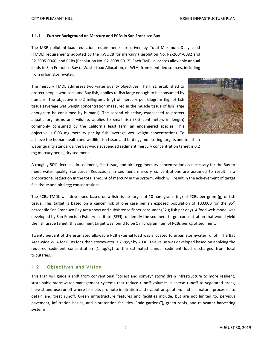#### **1.1.1 Further Background on Mercury and PCBs in San Francisco Bay**

The MRP pollutant-load reduction requirements are driven by Total Maximum Daily Load (TMDL) requirements adopted by the RWQCB for mercury (Resolution No. R2-2004-0082 and R2-2005-0060) and PCBs (Resolution No. R2-2008-0012). Each TMDL allocates allowable annual loads to San Francisco Bay (a Waste Load Allocation, or WLA) from identified sources, including from urban stormwater.

The mercury TMDL addresses two water quality objectives. The first, established to protect people who consume Bay fish, applies to fish large enough to be consumed by humans. The objective is 0.2 milligrams (mg) of mercury per kilogram (kg) of fish tissue (average wet weight concentration measured in the muscle tissue of fish large enough to be consumed by humans). The second objective, established to protect aquatic organisms and wildlife, applies to small fish (3-5 centimeters in length) commonly consumed by the California least tern, an endangered species. This objective is 0.03 mg mercury per kg fish (average wet weight concentration). To



achieve the human health and wildlife fish tissue and bird egg monitoring targets and to attain water quality standards, the Bay-wide suspended sediment mercury concentration target is 0.2 mg mercury per kg dry sediment.

A roughly 50% decrease in sediment, fish tissue, and bird egg mercury concentrations is necessary for the Bay to meet water quality standards. Reductions in sediment mercury concentrations are assumed to result in a proportional reduction in the total amount of mercury in the system, which will result in the achievement of target fish tissue and bird egg concentrations.

The PCBs TMDL was developed based on a fish tissue target of 10 nanograms (ng) of PCBs per gram (g) of fish tissue. This target is based on a cancer risk of one case per an exposed population of 100,000 for the 95<sup>th</sup> percentile San Francisco Bay Area sport and subsistence fisher consumer (32 g fish per day). A food web model was developed by San Francisco Estuary Institute (SFEI) to identify the sediment target concentration that would yield the fish tissue target; this sediment target was found to be 1 microgram (µg) of PCBs per kg of sediment.

Twenty percent of the estimated allowable PCB external load was allocated to urban stormwater runoff. The Bay Area-wide WLA for PCBs for urban stormwater is 2 kg/yr by 2030. This value was developed based on applying the required sediment concentration  $(1 \mu g/kg)$  to the estimated annual sediment load discharged from local tributaries.

#### <span id="page-5-0"></span>**1.2 Objectives and Vision**

This Plan will guide a shift from conventional "collect and convey" storm drain infrastructure to more resilient, sustainable stormwater management systems that reduce runoff volumes, disperse runoff to vegetated areas, harvest and use runoff where feasible, promote infiltration and evapotranspiration, and use natural processes to detain and treat runoff. Green infrastructure features and facilities include, but are not limited to, pervious pavement, infiltration basins, and bioretention facilities ("rain gardens"), green roofs, and rainwater harvesting systems.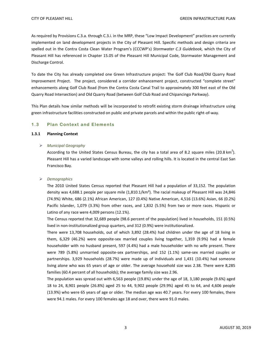As required by Provisions C.3.a. through C.3.i. in the MRP, these "Low Impact Development" practices are currently implemented on land development projects in the City of Pleasant Hill. Specific methods and design criteria are spelled out in the Contra Costa Clean Water Program's (CCCWP's) *Stormwater C.3 Guidebook,* which the City of Pleasant Hill has referenced in Chapter 15.05 of the Pleasant Hill Municipal Code, Stormwater Management and Discharge Control.

To date the City has already completed one Green Infrastructure project: The Golf Club Road/Old Quarry Road Improvement Project. The project, considered a corridor enhancement project, constructed "complete street" enhancements along Golf Club Road (from the Contra Costa Canal Trail to approximately 300 feet east of the Old Quarry Road Intersection) and Old Quarry Road (between Golf Club Road and Chipancingo Parkway).

This Plan details how similar methods will be incorporated to retrofit existing storm drainage infrastructure using green infrastructure facilities constructed on public and private parcels and within the public right-of-way.

#### <span id="page-6-0"></span>**1.3 Plan Context and Elements**

#### **1.3.1 Planning Context**

#### *Municipal Geography*

According to the [United States Census Bureau,](https://en.wikipedia.org/wiki/United_States_Census_Bureau) the city has a total area of 8.2 square miles (20.8 km<sup>2</sup>). Pleasant Hill has a varied landscape with some valleys and rolling hills. It is located in the central [East San](https://en.wikipedia.org/wiki/East_Bay_(San_Francisco_Bay_Area))  [Francisco Bay.](https://en.wikipedia.org/wiki/East_Bay_(San_Francisco_Bay_Area))

#### *Demographics*

The [2010 United States Census](https://en.wikipedia.org/wiki/2010_United_States_Census) reported that Pleasant Hill had a population of 33,152. The [population](https://en.wikipedia.org/wiki/Population_density)  [density](https://en.wikipedia.org/wiki/Population_density) was 4,688.1 people per square mile (1,810.1/km<sup>2</sup>). The racial makeup of Pleasant Hill was 24,846 (74.9%) [White,](https://en.wikipedia.org/wiki/White_(U.S._Census)) 686 (2.1%) [African American,](https://en.wikipedia.org/wiki/African_American_(U.S._Census)) 127 (0.4%) [Native American,](https://en.wikipedia.org/wiki/Native_American_(U.S._Census)) 4,516 (13.6%) [Asian,](https://en.wikipedia.org/wiki/Asian_(U.S._Census)) 66 (0.2%) [Pacific Islander,](https://en.wikipedia.org/wiki/Pacific_Islander_(U.S._Census)) 1,079 (3.3%) from [other races,](https://en.wikipedia.org/wiki/Race_(United_States_Census)) and 1,832 (5.5%) from two or more races. [Hispanic](https://en.wikipedia.org/wiki/Hispanic_(U.S._Census)) or [Latino](https://en.wikipedia.org/wiki/Latino_(U.S._Census)) of any race were 4,009 persons (12.1%).

The Census reported that 32,689 people (98.6 percent of the population) lived in households, 151 (0.5%) lived in non-institutionalized group quarters, and 312 (0.9%) were institutionalized.

There were 13,708 households, out of which 3,892 (28.4%) had children under the age of 18 living in them, 6,329 (46.2%) were [opposite-sex married couples](https://en.wikipedia.org/wiki/Marriage) living together, 1,359 (9.9%) had a female householder with no husband present, 597 (4.4%) had a male householder with no wife present. There were 789 (5.8%) [unmarried opposite-sex partnerships,](https://en.wikipedia.org/wiki/POSSLQ) and 152 (1.1%) [same-sex married couples or](https://en.wikipedia.org/wiki/Same-sex_partnerships)  [partnerships.](https://en.wikipedia.org/wiki/Same-sex_partnerships) 3,929 households (28.7%) were made up of individuals and 1,431 (10.4%) had someone living alone who was 65 years of age or older. The average household size was 2.38. There were 8,285 [families](https://en.wikipedia.org/wiki/Family_(U.S._Census)) (60.4 percent of all households); the average family size was 2.96.

The population was spread out with 6,563 people (19.8%) under the age of 18, 3,180 people (9.6%) aged 18 to 24, 8,901 people (26.8%) aged 25 to 44, 9,902 people (29.9%) aged 45 to 64, and 4,606 people (13.9%) who were 65 years of age or older. The median age was 40.7 years. For every 100 females, there were 94.1 males. For every 100 females age 18 and over, there were 91.0 males.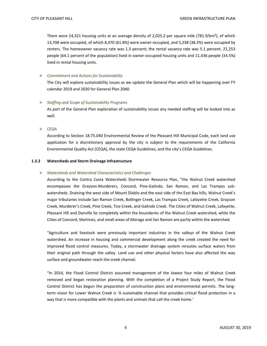There were 14,321 housing units at an average density of 2,025.2 per square mile (781.9/km²), of which 13,708 were occupied, of which 8,470 (61.8%) were owner-occupied, and 5,238 (38.2%) were occupied by renters. The homeowner vacancy rate was 1.3 percent; the rental vacancy rate was 5.1 percent. 21,253 people (64.1 percent of the population) lived in owner-occupied housing units and 11,436 people (34.5%) lived in rental housing units.

#### *Commitment and Actions for Sustainability*

The City will explore sustainability issues as we update the General Plan which will be happening over FY calendar 2019 and 2020 for General Plan 2040.

#### *Staffing and Scope of Sustainability Programs*

As part of the General Plan exploration of sustainability issues any needed staffing will be looked into as well.

*CEQA*

According to Section 18.75.040 Environmental Review of the Pleasant Hill Municipal Code, each land use application for a discretionary approval by the city is subject to the requirements of the California Environmental Quality Act (CEQA), the state CEQA Guidelines, and the city's CEQA Guidelines.

#### **1.3.2 Watersheds and Storm Drainage Infrastructure**

#### *Watersheds and Watershed Characteristics and Challenges*

According to the Contra Costa Watersheds Stormwater Resource Plan, "the Walnut Creek watershed encompasses the Grayson-Murderers, Concord, Pine-Galindo, San Ramon, and Las Trampas subwatersheds. Draining the west side of Mount Diablo and the east side of the East Bay hills, Walnut Creek's major tributaries include San Ramon Creek, Bollinger Creek, Las Trampas Creek, Lafayette Creek, Grayson Creek, Murderer's Creek, Pine Creek, Tice Creek, and Galindo Creek. The Cities of Walnut Creek, Lafayette, Pleasant Hill and Danville lie completely within the boundaries of the Walnut Creek watershed, while the Cities of Concord, Martinez, and small areas of Moraga and San Ramon are partly within the watershed.

"Agriculture and livestock were previously important industries in the valleys of the Walnut Creek watershed. An increase in housing and commercial development along the creek created the need for improved flood control measures. Today, a stormwater drainage system reroutes surface waters from their original path through the valley. Land use and other physical factors have also affected the way surface and groundwater reach the creek channel.

"In 2014, the Flood Control District assumed management of the lowest four miles of Walnut Creek removed and began restoration planning. With the completion of a Project Study Report, the Flood Control District has begun the preparation of construction plans and environmental permits. The longterm vision for Lower Walnut Creek is 'A sustainable channel that provides critical flood protection in a way that is more compatible with the plants and animals that call the creek home.'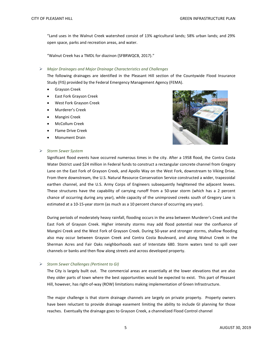"Land uses in the Walnut Creek watershed consist of 13% agricultural lands; 58% urban lands; and 29% open space, parks and recreation areas, and water.

"Walnut Creek has a TMDL for diazinon (SFBRWQCB, 2017)."

#### *Major Drainages and Major Drainage Characteristics and Challenges*

The following drainages are identified in the Pleasant Hill section of the Countywide Flood Insurance Study (FIS) provided by the Federal Emergency Management Agency (FEMA).

- Grayson Creek
- East Fork Grayson Creek
- West Fork Grayson Creek
- Murderer's Creek
- Mangini Creek
- McCollum Creek
- Flame Drive Creek
- Monument Drain



#### *Storm Sewer System*

Significant flood events have occurred numerous times in the city. After a 1958 flood, the Contra Costa Water District used \$24 million in Federal funds to construct a rectangular concrete channel from Gregory Lane on the East Fork of Grayson Creek, and Apollo Way on the West Fork, downstream to Viking Drive. From there downstream, the U.S. Natural Resource Conservation Service constructed a wider, trapezoidal earthen channel, and the U.S. Army Corps of Engineers subsequently heightened the adjacent levees. These structures have the capability of carrying runoff from a 50-year storm (which has a 2 percent chance of occurring during any year), while capacity of the unimproved creeks south of Gregory Lane is estimated at a 10-15-year storm (as much as a 10 percent chance of occurring any year).

During periods of moderately heavy rainfall, flooding occurs in the area between Murderer's Creek and the East Fork of Grayson Creek. Higher intensity storms may add flood potential near the confluence of Mangini Creek and the West Fork of Grayson Creek. During 50-year and stronger storms, shallow flooding also may occur between Grayson Creek and Contra Costa Boulevard, and along Walnut Creek in the Sherman Acres and Fair Oaks neighborhoods east of Interstate 680. Storm waters tend to spill over channels or banks and then flow along streets and across developed property.

#### *Storm Sewer Challenges (Pertinent to GI)*

The City is largely built out. The commercial areas are essentially at the lower elevations that are also they older parts of town where the best opportunities would be expected to exist. This part of Pleasant Hill, however, has right-of-way (ROW) limitations making implementation of Green Infrastructure.

The major challenge is that storm drainage channels are largely on private property. Property owners have been reluctant to provide drainage easement limiting the ability to include GI planning for those reaches. Eventually the drainage goes to Grayson Creek, a channelized Flood Control channel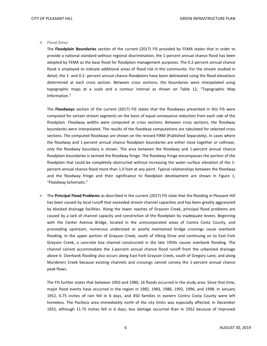#### *Flood Zones*

The **Floodplain Boundaries** section of the current (2017) FIS provided by FEMA states that in order to provide a national standard without regional discrimination, the 1-percent annual chance flood has been adopted by FEMA as the base flood for floodplain management purposes. The 0.2-percent annual chance flood is employed to indicate additional areas of flood risk in the community. For the stream studied in detail, the 1- and 0.2- percent annual chance floodplains have been delineated using the flood elevations determined at each cross section. Between cross sections, the boundaries were interpolated using topographic maps at a scale and a contour interval as shown on Table 12, "Topographic Map Information."

The **Floodways** section of the current (2017) FIS states that the floodways presented in this FIS were computed for certain stream segments on the basis of equal conveyance reduction from each side of the floodplain. Floodway widths were computed at cross sections. Between cross sections, the floodway boundaries were interpolated. The results of the floodway computations are tabulated for selected cross sections. The computed floodways are shown on the revised FIRM (Published Separately). In cases where the floodway and 1-percent annual chance floodplain boundaries are either close together or collinear, only the floodway boundary is shown. The area between the floodway and 1-percent annual chance floodplain boundaries is termed the floodway fringe. The floodway fringe encompasses the portion of the floodplain that could be completely obstructed without increasing the water-surface elevation of the 1 percent annual chance flood more than 1.0 foot at any point. Typical relationships between the floodway and the floodway fringe and their significance to floodplain development are shown in Figure 1, "Floodway Schematic."

 The **Principal Flood Problems** as described in the current (2017) FIS state that the flooding in Pleasant Hill has been caused by local runoff that exceeded stream channel capacities and has been greatly aggravated by blocked drainage facilities. Along the lower reaches of Grayson Creek, principal flood problems are caused by a lack of channel capacity and constriction of the floodplain by inadequate levees. Beginning with the Center Avenue Bridge, located in the unincorporated areas of Contra Costa County, and proceeding upstream, numerous undersized or poorly maintained bridge crossings cause overbank flooding. In the upper portion of Grayson Creek, south of Viking Drive and continuing on to East Fork Grayson Creek, a concrete box channel constructed in the late 1950s causes overbank flooding. The channel cannot accommodate the 1-percent annual chance flood runoff from the urbanized drainage above it. Overbank flooding also occurs along East Fork Grayson Creek, south of Gregory Lane, and along Murderers Creek because existing channels and crossings cannot convey the 1-percent annual chance peak flows.

The FIS further states that between 1950 and 1980, 16 floods occurred in the study area. Since that time, major flood events have occurred in the region in 1982, 1983, 1986, 1992, 1996, and 1998. In January 1952, 6.75 inches of rain fell in 6 days, and 450 families in eastern Contra Costa County were left homeless. The Pacheco area immediately north of the city limits was especially affected. In December 1955, although 11.75 inches fell in 6 days, less damage occurred than in 1952 because of improved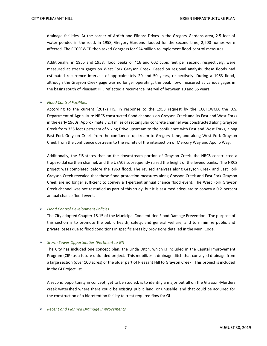drainage facilities. At the corner of Ardith and Elinora Drives in the Gregory Gardens area, 2.5 feet of water ponded in the road. In 1958, Gregory Gardens flooded for the second time; 2,600 homes were affected. The CCCFCWCD then asked Congress for \$24 million to implement flood-control measures.

Additionally, in 1955 and 1958, flood peaks of 416 and 602 cubic feet per second, respectively, were measured at stream gages on West Fork Grayson Creek. Based on regional analysis, these floods had estimated recurrence intervals of approximately 20 and 50 years, respectively. During a 1963 flood, although the Grayson Creek gage was no longer operating, the peak flow, measured at various gages in the basins south of Pleasant Hill, reflected a recurrence interval of between 10 and 35 years.

#### *Flood Control Facilities*

According to the current (2017) FIS, in response to the 1958 request by the CCCFCWCD, the U.S. Department of Agriculture NRCS constructed flood channels on Grayson Creek and its East and West Forks in the early 1960s. Approximately 2.4 miles of rectangular concrete channel was constructed along Grayson Creek from 335 feet upstream of Viking Drive upstream to the confluence with East and West Forks, along East Fork Grayson Creek from the confluence upstream to Gregory Lane, and along West Fork Grayson Creek from the confluence upstream to the vicinity of the intersection of Mercury Way and Apollo Way.

Additionally, the FIS states that on the downstream portion of Grayson Creek, the NRCS constructed a trapezoidal earthen channel, and the USACE subsequently raised the height of the leveed banks. The NRCS project was completed before the 1963 flood. The revised analyses along Grayson Creek and East Fork Grayson Creek revealed that these flood protection measures along Grayson Creek and East Fork Grayson Creek are no longer sufficient to convey a 1-percent annual chance flood event. The West Fork Grayson Creek channel was not restudied as part of this study, but it is assumed adequate to convey a 0.2-percent annual chance flood event.

#### *Flood Control Development Policies*

The City adopted Chapter 15.15 of the Municipal Code entitled Flood Damage Prevention. The purpose of this section is to promote the public health, safety, and general welfare, and to minimize public and private losses due to flood conditions in specific areas by provisions detailed in the Muni Code.

#### *Storm Sewer Opportunities (Pertinent to GI)*

The City has included one concept plan, the Linda Ditch, which is included in the Capital Improvement Program (CIP) as a future unfunded project. This mobilizes a drainage ditch that conveyed drainage from a large section (over 100 acres) of the older part of Pleasant Hill to Grayson Creek. This project is included in the GI Project list.

A second opportunity in concept, yet to be studied, is to identify a major outfall on the Grayson-Murders creek watershed where there could be existing public land, or unusable land that could be acquired for the construction of a bioretention facility to treat required flow for GI.

#### *Recent and Planned Drainage Improvements*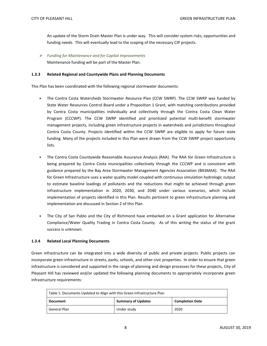An update of the Storm Drain Master Plan is under way. This will consider system risks, opportunities and funding needs. This will eventually lead to the scoping of the necessary CIP projects.

 *Funding for Maintenance and for Capital Improvements* Maintenance funding will be part of the Master Plan.

#### **1.3.3 Related Regional and Countywide Plans and Planning Documents**

This Plan has been coordinated with the following regional stormwater documents:

- The Contra Costa Watersheds Stormwater Resource Plan (CCW SWRP). The CCW SWRP was funded by State Water Resources Control Board under a Proposition 1 Grant, with matching contributions provided by Contra Costa municipalities individually and collectively through the Contra Costa Clean Water Program (CCCWP). The CCW SWRP identified and prioritized potential multi-benefit stormwater management projects, including green infrastructure projects in watersheds and jurisdictions throughout Contra Costa County. Projects identified within the CCW SWRP are eligible to apply for future state funding. Many of the projects included in this Plan were drawn from the CCW SWRP project opportunity lists.
- The Contra Costa Countywide Reasonable Assurance Analysis (RAA). The RAA for Green Infrastructure is being prepared by Contra Costa municipalities collectively through the CCCWP and is consistent with guidance prepared by the Bay Area Stormwater Management Agencies Association (BASMAA). The RAA for Green Infrastructure uses a water quality model coupled with continuous simulation hydrologic output to estimate baseline loadings of pollutants and the reductions that might be achieved through green infrastructure implementation in 2020, 2030, and 2040 under various scenarios, which include implementation of projects identified in this Plan. Results pertinent to green infrastructure planning and implementation are discussed in Section 2 of this Plan.
- The City of San Pablo and the City of Richmond have embarked on a Grant application for Alternative Compliance/Water Quality Trading in Contra Costa County. As of this writing the status of the grant success is unknown.

#### **1.3.4 Related Local Planning Documents**

Green infrastructure can be integrated into a wide diversity of public and private projects. Public projects can incorporate green infrastructure in streets, parks, schools, and other civic properties. In order to ensure that green infrastructure is considered and supported in the range of planning and design processes for these projects, City of Pleasant Hill has reviewed and/or updated the following planning documents to appropriately incorporate green infrastructure requirements:

<span id="page-11-0"></span>

| Table 1. Documents Updated to Align with this Green Infrastructure Plan |                           |                        |  |
|-------------------------------------------------------------------------|---------------------------|------------------------|--|
| <b>Document</b>                                                         | <b>Summary of Updates</b> | <b>Completion Date</b> |  |
| General Plan                                                            | Under study               | 2020                   |  |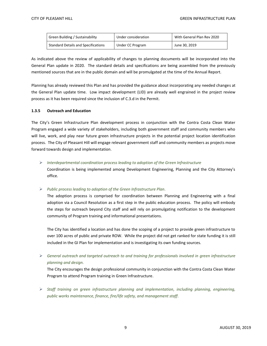| Green Building / Sustainability            | With General Plan Rev 2020<br>Under consideration |               |
|--------------------------------------------|---------------------------------------------------|---------------|
| <b>Standard Details and Specifications</b> | Under CC Program                                  | June 30, 2019 |

As indicated above the review of applicability of changes to planning documents will be incorporated into the General Plan update in 2020. The standard details and specifications are being assembled from the previously mentioned sources that are in the public domain and will be promulgated at the time of the Annual Report.

Planning has already reviewed this Plan and has provided the guidance about incorporating any needed changes at the General Plan update time. Low impact development (LID) are already well engrained in the project review process as it has been required since the inclusion of C.3.d in the Permit.

#### **1.3.5 Outreach and Education**

The City's Green Infrastructure Plan development process in conjunction with the Contra Costa Clean Water Program engaged a wide variety of stakeholders, including both government staff and community members who will live, work, and play near future green infrastructure projects in the potential project location identification process. The City of Pleasant Hill will engage relevant government staff and community members as projects move forward towards design and implementation.

 *Interdepartmental coordination process leading to adoption of the Green Infrastructure*  Coordination is being implemented among Development Engineering, Planning and the City Attorney's office.

*Public process leading to adoption of the Green Infrastructure Plan.*

The adoption process is comprised for coordination between Planning and Engineering with a final adoption via a Council Resolution as a first step in the public education process. The policy will embody the steps for outreach beyond City staff and will rely on promulgating notification to the development community of Program training and informational presentations.

The City has identified a location and has done the scoping of a project to provide green infrastructure to over 100 acres of public and private ROW. While the project did not get ranked for state funding it is still included in the GI Plan for implementation and is investigating its own funding sources.

 *General outreach and targeted outreach to and training for professionals involved in green infrastructure planning and design.* 

The City encourages the design professional community in conjunction with the Contra Costa Clean Water Program to attend Program training in Green Infrastructure.

 *Staff training on green infrastructure planning and implementation, including planning, engineering, public works maintenance, finance, fire/life safety, and management staff.*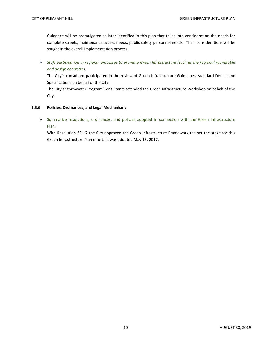Guidance will be promulgated as later identified in this plan that takes into consideration the needs for complete streets, maintenance access needs, public safety personnel needs. Their considerations will be sought in the overall implementation process.

 *Staff participation in regional processes to promote Green Infrastructure (such as the regional roundtable and design charrette*).

The City's consultant participated in the review of Green Infrastructure Guidelines, standard Details and Specifications on behalf of the City.

The City's Stormwater Program Consultants attended the Green Infrastructure Workshop on behalf of the City.

#### **1.3.6 Policies, Ordinances, and Legal Mechanisms**

 Summarize resolutions, ordinances, and policies adopted in connection with the Green Infrastructure Plan.

With Resolution 39-17 the City approved the Green Infrastructure Framework the set the stage for this Green Infrastructure Plan effort. It was adopted May 15, 2017.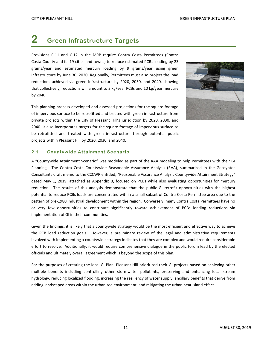# <span id="page-14-0"></span>**2 Green Infrastructure Targets**

Provisions C.11 and C.12 in the MRP require Contra Costa Permittees (Contra Costa County and its 19 cities and towns) to reduce estimated PCBs loading by 23 grams/year and estimated mercury loading by 9 grams/year using green infrastructure by June 30, 2020. Regionally, Permittees must also project the load reductions achieved via green infrastructure by 2020, 2030, and 2040, showing that collectively, reductions will amount to 3 kg/year PCBs and 10 kg/year mercury by 2040.

This planning process developed and assessed projections for the square footage of impervious surface to be retrofitted and treated with green infrastructure from private projects within the City of Pleasant Hill's jurisdiction by 2020, 2030, and 2040. It also incorporates targets for the square footage of impervious surface to be retrofitted and treated with green infrastructure through potential public projects within Pleasant Hill by 2020, 2030, and 2040.



#### <span id="page-14-1"></span>**2.1 Countywide Attainment Scenario**

A "Countywide Attainment Scenario" was modeled as part of the RAA modeling to help Permittees with their GI Planning. The Contra Costa Countywide Reasonable Assurance Analysis (RAA), summarized in the Geosyntec Consultants draft memo to the CCCWP entitled, "Reasonable Assurance Analysis Countywide Attainment Strategy" dated May 1, 2019, attached as Appendix B, focused on PCBs while also evaluating opportunities for mercury reduction. The results of this analysis demonstrate that the public GI retrofit opportunities with the highest potential to reduce PCBs loads are concentrated within a small subset of Contra Costa Permittee area due to the pattern of pre-1980 industrial development within the region. Conversely, many Contra Costa Permittees have no or very few opportunities to contribute significantly toward achievement of PCBs loading reductions via implementation of GI in their communities.

Given the findings, it is likely that a countywide strategy would be the most efficient and effective way to achieve the PCB load reduction goals. However, a preliminary review of the legal and administrative requirements involved with implementing a countywide strategy indicates that they are complex and would require considerable effort to resolve. Additionally, it would require comprehensive dialogue in the public forum lead by the elected officials and ultimately overall agreement which is beyond the scope of this plan.

For the purposes of creating the local GI Plan, Pleasant Hill prioritized their GI projects based on achieving other multiple benefits including controlling other stormwater pollutants, preserving and enhancing local stream hydrology, reducing localized flooding, increasing the resiliency of water supply, ancillary benefits that derive from adding landscaped areas within the urbanized environment, and mitigating the urban heat island effect.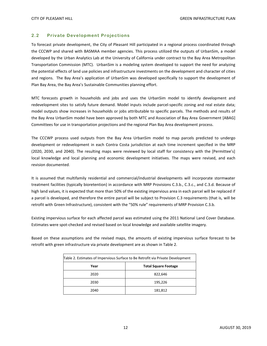#### <span id="page-15-0"></span>**2.2 Private Development Projections**

To forecast private development, the City of Pleasant Hill participated in a regional process coordinated through the CCCWP and shared with BASMAA member agencies. This process utilized the outputs of UrbanSim, a model developed by the Urban Analytics Lab at the University of California under contract to the Bay Area Metropolitan Transportation Commission (MTC). UrbanSim is a modeling system developed to support the need for analyzing the potential effects of land use policies and infrastructure investments on the development and character of cities and regions. The Bay Area's application of UrbanSim was developed specifically to support the development of Plan Bay Area, the Bay Area's Sustainable Communities planning effort.

MTC forecasts growth in households and jobs and uses the UrbanSim model to identify development and redevelopment sites to satisfy future demand. Model inputs include parcel-specific zoning and real estate data; model outputs show increases in households or jobs attributable to specific parcels. The methods and results of the Bay Area UrbanSim model have been approved by both MTC and Association of Bay Area Government [ABAG] Committees for use in transportation projections and the regional Plan Bay Area development process.

The CCCWP process used outputs from the Bay Area UrbanSim model to map parcels predicted to undergo development or redevelopment in each Contra Costa jurisdiction at each time increment specified in the MRP (2020, 2030, and 2040). The resulting maps were reviewed by local staff for consistency with the [Permittee's] local knowledge and local planning and economic development initiatives. The maps were revised, and each revision documented.

It is assumed that multifamily residential and commercial/industrial developments will incorporate stormwater treatment facilities (typically bioretention) in accordance with MRP Provisions C.3.b., C.3.c., and C.3.d. Because of high land values, it is expected that more than 50% of the existing impervious area in each parcel will be replaced if a parcel is developed, and therefore the entire parcel will be subject to Provision C.3 requirements (that is, will be retrofit with Green Infrastructure), consistent with the "50% rule" requirements of MRP Provision C.3.b.

Existing impervious surface for each affected parcel was estimated using the 2011 National Land Cover Database. Estimates were spot-checked and revised based on local knowledge and available satellite imagery.

Based on these assumptions and the revised maps, the amounts of existing impervious surface forecast to be retrofit with green infrastructure via private development are as shown in Table 2.

<span id="page-15-1"></span>

| Table 2. Estimates of Impervious Surface to Be Retrofit via Private Development |         |  |  |
|---------------------------------------------------------------------------------|---------|--|--|
| <b>Total Square Footage</b><br>Year                                             |         |  |  |
| 2020                                                                            | 822,646 |  |  |
| 2030                                                                            | 195,226 |  |  |
| 2040                                                                            | 181,812 |  |  |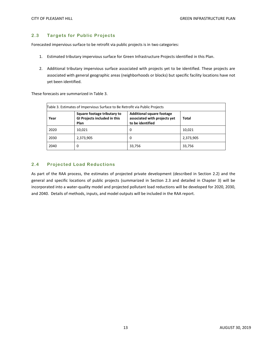#### <span id="page-16-0"></span>**2.3 Targets for Public Projects**

Forecasted impervious surface to be retrofit via public projects is in two categories:

- 1. Estimated tributary impervious surface for Green Infrastructure Projects identified in this Plan.
- 2. Additional tributary impervious surface associated with projects yet to be identified. These projects are associated with general geographic areas (neighborhoods or blocks) but specific facility locations have not yet been identified.

These forecasts are summarized in Table 3.

<span id="page-16-2"></span>

| Table 3. Estimates of Impervious Surface to Be Retrofit via Public Projects |                                                                            |                                                                                      |           |  |  |  |
|-----------------------------------------------------------------------------|----------------------------------------------------------------------------|--------------------------------------------------------------------------------------|-----------|--|--|--|
| Year                                                                        | Square footage tributary to<br><b>GI Projects included in this</b><br>Plan | <b>Additional square footage</b><br>associated with projects yet<br>to be identified | Total     |  |  |  |
| 2020                                                                        | 10,021                                                                     | 0                                                                                    | 10,021    |  |  |  |
| 2030                                                                        | 2,373,905                                                                  | 0                                                                                    | 2,373,905 |  |  |  |
| 2040                                                                        | 0                                                                          | 33,756                                                                               | 33,756    |  |  |  |

#### <span id="page-16-1"></span>**2.4 Projected Load Reductions**

As part of the RAA process, the estimates of projected private development (described in Section 2.2) and the general and specific locations of public projects (summarized in Section 2.3 and detailed in Chapter 3) will be incorporated into a water-quality model and projected pollutant load reductions will be developed for 2020, 2030, and 2040. Details of methods, inputs, and model outputs will be included in the RAA report.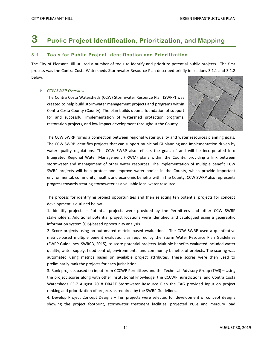# <span id="page-17-0"></span>**3 Public Project Identification, Prioritization, and Mapping**

#### <span id="page-17-1"></span>**3.1 Tools for Public Project Identification and Prioritization**

The City of Pleasant Hill utilized a number of tools to identify and prioritize potential public projects. The first process was the Contra Costa Watersheds Stormwater Resource Plan described briefly in sections 3.1.1 and 3.1.2 below.

#### *CCW SWRP Overview*

The Contra Costa Watersheds (CCW) Stormwater Resource Plan (SWRP) was created to help build stormwater management projects and programs within Contra Costa County (County). The plan builds upon a foundation of support for and successful implementation of watershed protection programs, restoration projects, and low impact development throughout the County.



The CCW SWRP forms a connection between regional water quality and water resources planning goals. The CCW SWRP identifies projects that can support municipal GI planning and implementation driven by water quality regulations. The CCW SWRP also reflects the goals of and will be incorporated into Integrated Regional Water Management (IRWM) plans within the County, providing a link between stormwater and management of other water resources. The implementation of multiple benefit CCW SWRP projects will help protect and improve water bodies in the County, which provide important environmental, community, health, and economic benefits within the County. CCW SWRP also represents progress towards treating stormwater as a valuable local water resource.

The process for identifying project opportunities and then selecting ten potential projects for concept development is outlined below.

1. Identify projects – Potential projects were provided by the Permittees and other CCW SWRP stakeholders. Additional potential project locations were identified and catalogued using a geographic information system (GIS)-based opportunity analysis.

2. Score projects using an automated metrics-based evaluation – The CCW SWRP used a quantitative metrics-based multiple benefit evaluation, as required by the Storm Water Resource Plan Guidelines (SWRP Guidelines, SWRCB, 2015), to score potential projects. Multiple benefits evaluated included water quality, water supply, flood control, environmental and community benefits of projects. The scoring was automated using metrics based on available project attributes. These scores were then used to preliminarily rank the projects for each jurisdiction.

3. Rank projects based on input from CCCWP Permittees and the Technical Advisory Group (TAG) **–** Using the project scores along with other institutional knowledge, the CCCWP, jurisdictions, and Contra Costa Watersheds ES-7 August 2018 DRAFT Stormwater Resource Plan the TAG provided input on project ranking and prioritization of projects as required by the SWRP Guidelines.

4. Develop Project Concept Designs – Ten projects were selected for development of concept designs showing the project footprint, stormwater treatment facilities, projected PCBs and mercury load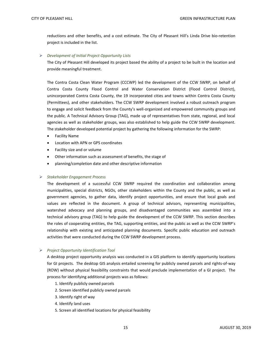reductions and other benefits, and a cost estimate. The City of Pleasant Hill's Linda Drive bio-retention project is included in the list.

*Development of Initial Project Opportunity Lists*

The City of Pleasant Hill developed its project based the ability of a project to be built in the location and provide meaningful treatment.

The Contra Costa Clean Water Program (CCCWP) led the development of the CCW SWRP, on behalf of Contra Costa County Flood Control and Water Conservation District (Flood Control District), unincorporated Contra Costa County, the 19 incorporated cities and towns within Contra Costa County (Permittees), and other stakeholders. The CCW SWRP development involved a robust outreach program to engage and solicit feedback from the County's well-organized and empowered community groups and the public. A Technical Advisory Group (TAG), made up of representatives from state, regional, and local agencies as well as stakeholder groups, was also established to help guide the CCW SWRP development. The stakeholder developed potential project by gathering the following information for the SWRP:

- Facility Name
- Location with APN or GPS coordinates
- Facility size and or volume
- Other information such as assessment of benefits, the stage of
- planning/completion date and other descriptive information

#### *Stakeholder Engagement Process*

The development of a successful CCW SWRP required the coordination and collaboration among municipalities, special districts, NGOs, other stakeholders within the County and the public, as well as government agencies, to gather data, identify project opportunities, and ensure that local goals and values are reflected in the document. A group of technical advisors, representing municipalities, watershed advocacy and planning groups, and disadvantaged communities was assembled into a technical advisory group (TAG) to help guide the development of the CCW SWRP. This section describes the roles of cooperating entities, the TAG, supporting entities, and the public as well as the CCW SWRP's relationship with existing and anticipated planning documents. Specific public education and outreach activities that were conducted during the CCW SWRP development process.

*Project Opportunity Identification Tool*

A desktop project opportunity analysis was conducted in a GIS platform to identify opportunity locations for GI projects. The desktop GIS analysis entailed screening for publicly owned parcels and rights-of-way (ROW) without physical feasibility constraints that would preclude implementation of a GI project. The process for identifying additional projects was as follows:

- 1. Identify publicly owned parcels
- 2. Screen identified publicly owned parcels
- 3. Identify right of way
- 4. Identify land uses
- 5. Screen all identified locations for physical feasibility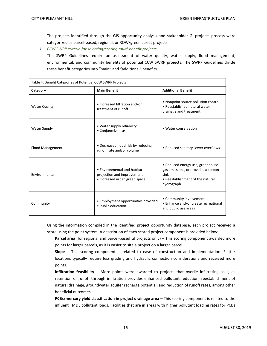The projects identified through the GIS opportunity analysis and stakeholder GI projects process were categorized as parcel-based, regional, or ROW/green street projects.

*CCW SWRP criteria for selecting/scoring multi-benefit projects*

The SWRP Guidelines require an assessment of water quality, water supply, flood management, environmental, and community benefits of potential CCW SWRP projects. The SWRP Guidelines divide these benefit categories into "main" and "additional" benefits.

<span id="page-19-0"></span>

| Table 4. Benefit Categories of Potential CCW SWRP Projects |                                                                                            |                                                                                                                                   |  |  |  |
|------------------------------------------------------------|--------------------------------------------------------------------------------------------|-----------------------------------------------------------------------------------------------------------------------------------|--|--|--|
| Category                                                   | <b>Main Benefit</b>                                                                        | <b>Additional Benefit</b>                                                                                                         |  |  |  |
| <b>Water Quality</b>                                       | • Increased filtration and/or<br>treatment of runoff                                       | • Nonpoint source pollution control<br>• Reestablished natural water<br>drainage and treatment                                    |  |  |  |
| <b>Water Supply</b>                                        | • Water supply reliability<br>• Conjunctive use                                            | • Water conservation                                                                                                              |  |  |  |
| Flood Management                                           | • Decreased flood risk by reducing<br>runoff rate and/or volume                            | • Reduced sanitary sewer overflows                                                                                                |  |  |  |
| Environmental                                              | • Environmental and habitat<br>projection and improvement<br>• Increased urban green space | • Reduced energy use, greenhouse<br>gas emissions, or provides a carbon<br>sink<br>• Reestablishment of the natural<br>hydrograph |  |  |  |
| Community                                                  | • Employment opportunities provided<br>• Public education                                  | • Community involvement<br>• Enhance and/or create recreational<br>and public use areas                                           |  |  |  |

Using the information compiled in the identified project opportunity database, each project received a score using the point system. A description of each scored project component is provided below:

**Parcel area** (for regional and parcel-based GI projects only) – This scoring component awarded more points for larger parcels, as it is easier to site a project on a larger parcel.

**Slope** – This scoring component is related to ease of construction and implementation. Flatter locations typically require less grading and hydraulic connection considerations and received more points.

**Infiltration feasibility** – More points were awarded to projects that overlie infiltrating soils, as retention of runoff through infiltration provides enhanced pollutant reduction, reestablishment of natural drainage, groundwater aquifer recharge potential, and reduction of runoff rates, among other beneficial outcomes.

**PCBs/mercury yield classification in project drainage area** – This scoring component is related to the influent TMDL pollutant loads. Facilities that are in areas with higher pollutant loading rates for PCBs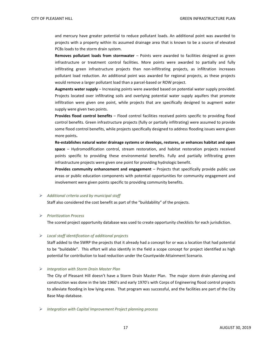and mercury have greater potential to reduce pollutant loads. An additional point was awarded to projects with a property within its assumed drainage area that is known to be a source of elevated PCBs loads to the storm drain system.

**Removes pollutant loads from stormwater** – Points were awarded to facilities designed as green infrastructure or treatment control facilities. More points were awarded to partially and fully infiltrating green infrastructure projects than non-infiltrating projects, as infiltration increases pollutant load reduction. An additional point was awarded for regional projects, as these projects would remove a larger pollutant load than a parcel-based or ROW project.

**Augments water supply** – Increasing points were awarded based on potential water supply provided. Projects located over infiltrating soils and overlying potential water supply aquifers that promote infiltration were given one point, while projects that are specifically designed to augment water supply were given two points.

**Provides flood control benefits** – Flood control facilities received points specific to providing flood control benefits. Green infrastructure projects (fully or partially infiltrating) were assumed to provide some flood control benefits, while projects specifically designed to address flooding issues were given more points**.** 

**Re-establishes natural water drainage systems or develops, restores, or enhances habitat and open space** – Hydromodification control, stream restoration, and habitat restoration projects received points specific to providing these environmental benefits. Fully and partially infiltrating green infrastructure projects were given one point for providing hydrologic benefit.

**Provides community enhancement and engagement** – Projects that specifically provide public use areas or public education components with potential opportunities for community engagement and involvement were given points specific to providing community benefits.

#### *Additional criteria used by municipal staff*

Staff also considered the cost benefit as part of the "buildability" of the projects.

#### *Prioritization Process*

The scored project opportunity database was used to create opportunity checklists for each jurisdiction.

#### *Local staff identification of additional projects*

Staff added to the SWRP the projects that it already had a concept for or was a location that had potential to be "buildable". This effort will also identify in the field a scope concept for project identified as high potential for contribution to load reduction under the Countywide Attainment Scenario.

#### *Integration with Storm Drain Master Plan*

The City of Pleasant Hill doesn't have a Storm Drain Master Plan. The major storm drain planning and construction was done in the late 1960's and early 1970's with Corps of Engineering flood control projects to alleviate flooding in low lying areas. That program was successful, and the facilities are part of the City Base Map database.

*Integration with Capital Improvement Project planning process*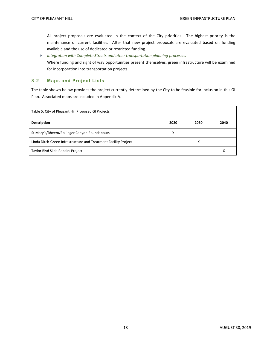All project proposals are evaluated in the context of the City priorities. The highest priority is the maintenance of current facilities. After that new project proposals are evaluated based on funding available and the use of dedicated or restricted funding.

 *Integration with Complete Streets and other transportation planning processes* Where funding and right of way opportunities present themselves, green infrastructure will be examined for incorporation into transportation projects.

#### <span id="page-21-0"></span>**3.2 Maps and Project Lists**

The table shown below provides the project currently determined by the City to be feasible for inclusion in this GI Plan. Associated maps are included in Appendix A.

<span id="page-21-1"></span>

| Table 5: City of Pleasant Hill Proposed GI Projects             |      |      |      |  |
|-----------------------------------------------------------------|------|------|------|--|
| <b>Description</b>                                              | 2020 | 2030 | 2040 |  |
| St Mary's/Rheem/Bollinger Canyon Roundabouts                    | x    |      |      |  |
| Linda Ditch-Green Infrastructure and Treatment Facility Project |      | х    |      |  |
| <b>Taylor Blvd Slide Repairs Project</b>                        |      |      | х    |  |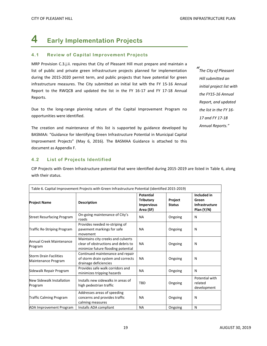# <span id="page-22-0"></span>**4 Early Implementation Projects**

#### <span id="page-22-1"></span>**4.1 Review of Capital Improvement Projects**

MRP Provision C.3.j.ii. requires that City of Pleasant Hill must prepare and maintain a list of public and private green infrastructure projects planned for implementation during the 2015-2020 permit term, and public projects that have potential for green infrastructure measures. The City submitted an initial list with the FY 15-16 Annual Report to the RWQCB and updated the list in the FY 16-17 and FY 17-18 Annual Reports.

Due to the long-range planning nature of the Capital Improvement Program no opportunities were identified.

The creation and maintenance of this list is supported by guidance developed by BASMAA: "Guidance for Identifying Green Infrastructure Potential in Municipal Capital Improvement Projects" (May 6, 2016). The BASMAA Guidance is attached to this document as Appendix F.

#### <span id="page-22-2"></span>**4.2 List of Projects Identified**

CIP Projects with Green Infrastructure potential that were identified during 2015-2019 are listed in Table 6, along with their status.

<span id="page-22-3"></span>

| Table 6. Capital Improvement Projects with Green Infrastructure Potential (identified 2015-2019) |                                                                                                                 |                                                                 |                          |                                                        |  |  |
|--------------------------------------------------------------------------------------------------|-----------------------------------------------------------------------------------------------------------------|-----------------------------------------------------------------|--------------------------|--------------------------------------------------------|--|--|
| <b>Project Name</b>                                                                              | <b>Description</b>                                                                                              | Potential<br><b>Tributary</b><br><b>Impervious</b><br>Area (SF) | Project<br><b>Status</b> | Included in<br>Green<br>Infrastructure<br>Plan $(Y/N)$ |  |  |
| <b>Street Resurfacing Program</b>                                                                | On-going maintenance of City's<br>roads                                                                         | <b>NA</b>                                                       | Ongoing                  | N                                                      |  |  |
| <b>Traffic Re-Striping Program</b>                                                               | Provides needed re-striping of<br>pavement markings for safe<br>movement                                        | <b>NA</b>                                                       | Ongoing                  | N                                                      |  |  |
| Annual Creek Maintenance<br>Program                                                              | Maintains city creeks and culverts<br>clear of obstructions and debris to<br>minimize future flooding potential | <b>NA</b>                                                       | Ongoing                  | N                                                      |  |  |
| <b>Storm Drain Facilities</b><br>Maintenance Program                                             | Continued maintenance and repair<br>of storm drain system and corrects<br>drainage deficiencies                 | <b>NA</b>                                                       | Ongoing                  | N                                                      |  |  |
| Sidewalk Repair Program                                                                          | Provides safe walk corridors and<br>minimizes tripping hazards                                                  | <b>NA</b>                                                       | Ongoing                  | N                                                      |  |  |
| New Sidewalk Installation<br>Program                                                             | Installs new sidewalks in areas of<br>high pedestrian traffic                                                   | <b>TBD</b>                                                      | Ongoing                  | Potential with<br>related<br>development               |  |  |
| <b>Traffic Calming Program</b>                                                                   | Addresses areas of speeding<br>concerns and provides traffic<br>calming measures                                | <b>NA</b>                                                       | Ongoing                  | N                                                      |  |  |
| <b>ADA Improvement Program</b>                                                                   | Installs ADA compliant                                                                                          | <b>NA</b>                                                       | Ongoing                  | N                                                      |  |  |

*" The City of Pleasant Hill submitted an initial project list with the FY15-16 Annual Report, and updated the list in the FY 16- 17 and FY 17-18 Annual Reports."*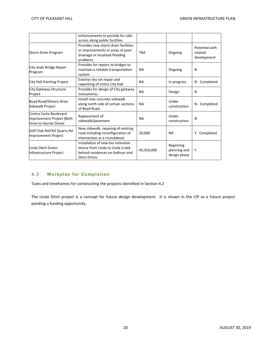|                                                                                | enhancements to provide for safe<br>access along public facilities                                                               |            |                                           |                                          |
|--------------------------------------------------------------------------------|----------------------------------------------------------------------------------------------------------------------------------|------------|-------------------------------------------|------------------------------------------|
| Storm Drain Program                                                            | Provides new storm drain facilities<br>or improvements in areas of poor<br>drainage or localized flooding<br>problems            | <b>TBA</b> | Ongoing                                   | Potential with<br>related<br>development |
| City-wide Bridge Repair<br>Program                                             | Provides for repairs to bridges to<br>maintain a reliable transportation<br>system                                               | <b>NA</b>  | Ongoing                                   | N                                        |
| City Hall Painting Project                                                     | Exterior dry rot repair and<br>repainting of entire City Hall                                                                    | <b>NA</b>  | In progress                               | N - Completed                            |
| City Gateway Structure<br>Project                                              | Provides for design of City gateway<br>monuments                                                                                 | <b>NA</b>  | Design                                    | N                                        |
| Boyd Road/Elinora Drive<br>Sidewalk Project                                    | Install new concrete sidewalk<br>along north side of certain sections<br>of Boyd Road                                            | <b>NA</b>  | Under<br>construction                     | N - Completed                            |
| Contra Costa Boulevard<br>Improvement Project (Beth<br>Drive to Harriet Drive) | Replacement of<br>sidewalk/pavement                                                                                              | <b>NA</b>  | Under<br>construction                     | N                                        |
| Golf Club Rd/Old Quarry Rd<br>Improvement Project                              | New sidewalk, repaving of existing<br>road including reconfiguration of<br>intersection as a roundabout                          | 20,000     | <b>NA</b>                                 | Y - Completed                            |
| Linda Ditch Green<br>Infrastructure Project                                    | Installation of new bio-retention<br>device from Linda to Linda Creek<br>behind residences on Kathryn and<br><b>Doris Drives</b> | 45,356,000 | Beginning<br>planning and<br>design phase | Y                                        |

#### <span id="page-23-0"></span>**4.3 Workplan for Completion**

Tasks and timeframes for constructing the projects identified in Section 4.2

The Linda Ditch project is a concept for future design development. It is shown in the CIP as a future project pending a funding opportunity.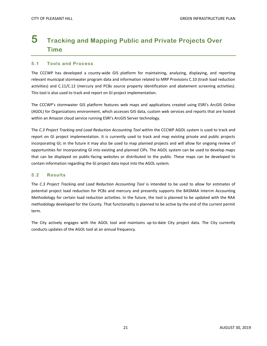### <span id="page-24-0"></span>**5 Tracking and Mapping Public and Private Projects Over Time**

#### <span id="page-24-1"></span>**5.1 Tools and Process**

The CCCWP has developed a county-wide GIS platform for maintaining, analyzing, displaying, and reporting relevant municipal stormwater program data and information related to MRP Provisions C.10 (trash load reduction activities) and C.11/C.12 (mercury and PCBs source property identification and abatement screening activities). This tool is also used to track and report on GI project implementation.

The CCCWP's stormwater GIS platform features web maps and applications created using ESRI's ArcGIS Online (AGOL) for Organizations environment, which accesses GIS data, custom web services and reports that are hosted within an Amazon cloud service running ESRI's ArcGIS Server technology.

The *C.3 Project Tracking and Load Reduction Accounting Tool* within the CCCWP AGOL system is used to track and report on GI project implementation. It is currently used to track and map existing private and public projects incorporating GI; in the future it may also be used to map planned projects and will allow for ongoing review of opportunities for incorporating GI into existing and planned CIPs. The AGOL system can be used to develop maps that can be displayed on public-facing websites or distributed to the public. These maps can be developed to contain information regarding the GI project data input into the AGOL system.

#### <span id="page-24-2"></span>**5.2 Results**

The *C.3 Project Tracking and Load Reduction Accounting Tool* is intended to be used to allow for estimates of potential project load reduction for PCBs and mercury and presently supports the BASMAA Interim Accounting Methodology for certain load reduction activities. In the future, the tool is planned to be updated with the RAA methodology developed for the County. That functionality is planned to be active by the end of the current permit term.

The City actively engages with the AGOL tool and maintains up-to-date City project data. The City currently conducts updates of the AGOL tool at an annual frequency.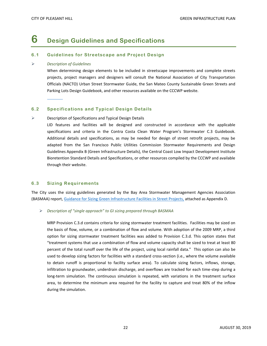### <span id="page-25-0"></span>**6 Design Guidelines and Specifications**

#### <span id="page-25-1"></span>**6.1 Guidelines for Streetscape and Project Design**

#### *Description of Guidelines*

When determining design elements to be included in streetscape improvements and complete streets projects, project managers and designers will consult the National Association of City Transportation Officials (NACTO) Urban Street Stormwater Guide, the San Mateo County Sustainable Green Streets and Parking Lots Design Guidebook, and other resources available on the CCCWP website.

#### <span id="page-25-2"></span>**6.2 Specifications and Typical Design Details**

#### $\triangleright$  Description of Specifications and Typical Design Details

LID features and facilities will be designed and constructed in accordance with the applicable specifications and criteria in the Contra Costa Clean Water Program's Stormwater C.3 Guidebook. Additional details and specifications, as may be needed for design of street retrofit projects, may be adapted from the San Francisco Public Utilities Commission Stormwater Requirements and Design Guidelines Appendix B (Green Infrastructure Details), the Central Coast Low Impact Development Institute Bioretention Standard Details and Specifications, or other resources compiled by the CCCWP and available through their website.

#### <span id="page-25-3"></span>**6.3 Sizing Requirements**

The City uses the sizing guidelines generated by the Bay Area Stormwater Management Agencies Association (BASMAA) report, [Guidance for Sizing Green Infrastructure Facilities in Street Projects,](https://www.cccleanwater.org/userfiles/kcfinder/files/BASMAA_Guidance%20for%20Sizing%20GI_with%20Dubin%20memo.pdf) attached as Appendix D.

#### *Description of "single approach" to GI sizing prepared through BASMAA*

MRP Provision C.3.d contains criteria for sizing stormwater treatment facilities. Facilities may be sized on the basis of flow, volume, or a combination of flow and volume. With adoption of the 2009 MRP, a third option for sizing stormwater treatment facilities was added to Provision C.3.d. This option states that "treatment systems that use a combination of flow and volume capacity shall be sized to treat at least 80 percent of the total runoff over the life of the project, using local rainfall data." This option can also be used to develop sizing factors for facilities with a standard cross-section (i.e., where the volume available to detain runoff is proportional to facility surface area). To calculate sizing factors, inflows, storage, infiltration to groundwater, underdrain discharge, and overflows are tracked for each time-step during a long-term simulation. The continuous simulation is repeated, with variations in the treatment surface area, to determine the minimum area required for the facility to capture and treat 80% of the inflow during the simulation.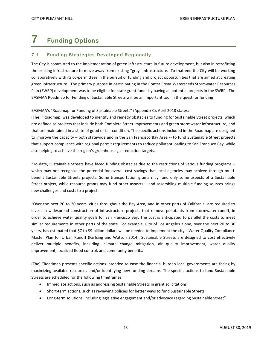# <span id="page-26-0"></span>**7 Funding Options**

#### <span id="page-26-1"></span>**7.1 Funding Strategies Developed Regionally**

The City is committed to the implementation of green infrastructure in future development, but also in retrofitting the existing infrastructure to move away from existing "gray" infrastructure. To that end the City will be working collaboratively with its co-permittees in the pursuit of funding and project opportunities that are aimed at creating green infrastructure. The primary purpose in participating in the Contra Costa Watersheds Stormwater Resources Plan (SWRP) development was to be eligible for state grant funds by having all potential projects in the SWRP. The BASMAA Roadmap for Funding of Sustainable Streets will be an important tool in the quest for funding.

BASMAA's "Roadmap for Funding of Sustainable Streets" (Appendix C), April 2018 states:

(The) "Roadmap, was developed to identify and remedy obstacles to funding for Sustainable Street projects, which are defined as projects that include both Complete Street improvements and green stormwater infrastructure, and that are maintained in a state of good or fair condition. The specific actions included in the Roadmap are designed to improve the capacity – both statewide and in the San Francisco Bay Area -- to fund Sustainable Street projects that support compliance with regional permit requirements to reduce pollutant loading to San Francisco Bay, while also helping to achieve the region's greenhouse gas reduction targets.

"To date, Sustainable Streets have faced funding obstacles due to the restrictions of various funding programs – which may not recognize the potential for overall cost savings that local agencies may achieve through multibenefit Sustainable Streets projects. Some transportation grants may fund only some aspects of a Sustainable Street project, while resource grants may fund other aspects – and assembling multiple funding sources brings new challenges and costs to a project.

"Over the next 20 to 30 years, cities throughout the Bay Area, and in other parts of California, are required to invest in widespread construction of infrastructure projects that remove pollutants from stormwater runoff, in order to achieve water quality goals for San Francisco Bay. The cost is anticipated to parallel the costs to meet similar requirements in other parts of the state. For example, City of Los Angeles alone, over the next 20 to 30 years, has estimated that \$7 to \$9 billion dollars will be needed to implement the city's Water Quality Compliance Master Plan for Urban Runoff (Farfsing and Watson 2014). Sustainable Streets are designed to cost effectively deliver multiple benefits, including: climate change mitigation, air quality improvement, water quality improvement, localized flood control, and community benefits.

(The) "Roadmap presents specific actions intended to ease the financial burden local governments are facing by maximizing available resources and/or identifying new funding streams. The specific actions to fund Sustainable Streets are scheduled for the following timeframes:

- Immediate actions, such as addressing Sustainable Streets in grant solicitations
- Short-term actions, such as reviewing policies for better ways to fund Sustainable Streets
- Long-term solutions, including legislative engagement and/or advocacy regarding Sustainable Street"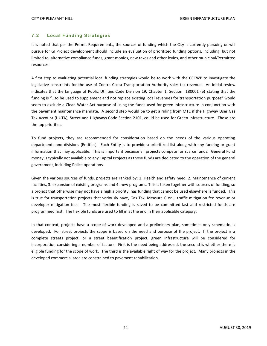#### <span id="page-27-0"></span>**7.2 Local Funding Strategies**

It is noted that per the Permit Requirements, the sources of funding which the City is currently pursuing or will pursue for GI Project development should include an evaluation of prioritized funding options, including, but not limited to, alternative compliance funds, grant monies, new taxes and other levies, and other municipal/Permittee resources.

A first step to evaluating potential local funding strategies would be to work with the CCCWP to investigate the legislative constraints for the use of Contra Costa Transportation Authority sales tax revenue. An initial review indicates that the language of Public Utilities Code Division 19, Chapter 1, Section 180001 (e) stating that the funding is "…to be used to supplement and not replace existing local revenues for transportation purpose" would seem to exclude a Clean Water Act purpose of using the funds used for green infrastructure in conjunction with the pavement maintenance mandate. A second step would be to get a ruling from MTC if the Highway User Gas Tax Account (HUTA), Street and Highways Code Section 2101, could be used for Green Infrastructure. Those are the top priorities.

To fund projects, they are recommended for consideration based on the needs of the various operating departments and divisions (Entities). Each Entity is to provide a prioritized list along with any funding or grant information that may applicable. This is important because all projects compete for scarce funds. General Fund money is typically not available to any Capital Projects as those funds are dedicated to the operation of the general government, including Police operations.

Given the various sources of funds, projects are ranked by: 1. Health and safety need, 2. Maintenance of current facilities, 3. expansion of existing programs and 4. new programs. This is taken together with sources of funding, so a project that otherwise may not have a high a priority, has funding that cannot be used elsewhere is funded. This is true for transportation projects that variously have, Gas Tax, Measure C or J, traffic mitigation fee revenue or developer mitigation fees. The most flexible funding is saved to be committed last and restricted funds are programmed first. The flexible funds are used to fill in at the end in their applicable category.

In that context, projects have a scope of work developed and a preliminary plan, sometimes only schematic, is developed. For street projects the scope is based on the need and purpose of the project. If the project is a complete streets project, or a street beautification project, green infrastructure will be considered for incorporation considering a number of factors. First is the need being addressed, the second is whether there is eligible funding for the scope of work. The third is the available right of way for the project. Many projects in the developed commercial area are constrained to pavement rehabilitation.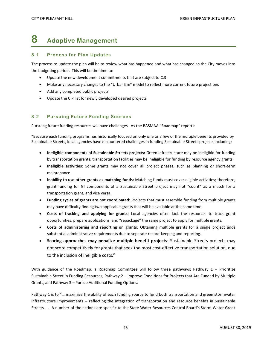### <span id="page-28-0"></span>**8 Adaptive Management**

#### <span id="page-28-1"></span>**8.1 Process for Plan Updates**

The process to update the plan will be to review what has happened and what has changed as the City moves into the budgeting period. This will be the time to:

- Update the new development commitments that are subject to C.3
- Make any necessary changes to the "UrbanSim" model to reflect more current future projections
- Add any completed public projects
- Update the CIP list for newly developed desired projects

#### <span id="page-28-2"></span>**8.2 Pursuing Future Funding Sources**

Pursuing future funding resources will have challenges. As the BASMAA "Roadmap" reports:

"Because each funding programs has historically focused on only one or a few of the multiple benefits provided by Sustainable Streets, local agencies have encountered challenges in funding Sustainable Streets projects including:

- **Ineligible components of Sustainable Streets projects:** Green infrastructure may be ineligible for funding by transportation grants; transportation facilities may be ineligible for funding by resource agency grants.
- **Ineligible activities:** Some grants may not cover all project phases, such as planning or short-term maintenance.
- **Inability to use other grants as matching funds:** Matching funds must cover eligible activities; therefore, grant funding for GI components of a Sustainable Street project may not "count" as a match for a transportation grant, and vice versa.
- **Funding cycles of grants are not coordinated:** Projects that must assemble funding from multiple grants may have difficulty finding two applicable grants that will be available at the same time.
- **Costs of tracking and applying for grants**: Local agencies often lack the resources to track grant opportunities, prepare applications, and "repackage" the same project to apply for multiple grants.
- **Costs of administering and reporting on grants**: Obtaining multiple grants for a single project adds substantial administrative requirements due to separate record‐keeping and reporting.
- **Scoring approaches may penalize multiple-benefit projects**: Sustainable Streets projects may not score competitively for grants that seek the most cost-effective transportation solution, due to the inclusion of ineligible costs."

With guidance of the Roadmap, a Roadmap Committee will follow three pathways; Pathway 1 – Prioritize Sustainable Street in Funding Resources, Pathway 2 – Improve Conditions for Projects that Are Funded by Multiple Grants, and Pathway 3 – Pursue Additional Funding Options.

Pathway 1 is to "… maximize the ability of each funding source to fund both transportation and green stormwater infrastructure improvements -- reflecting the integration of transportation and resource benefits in Sustainable Streets …. A number of the actions are specific to the State Water Resources Control Board's Storm Water Grant